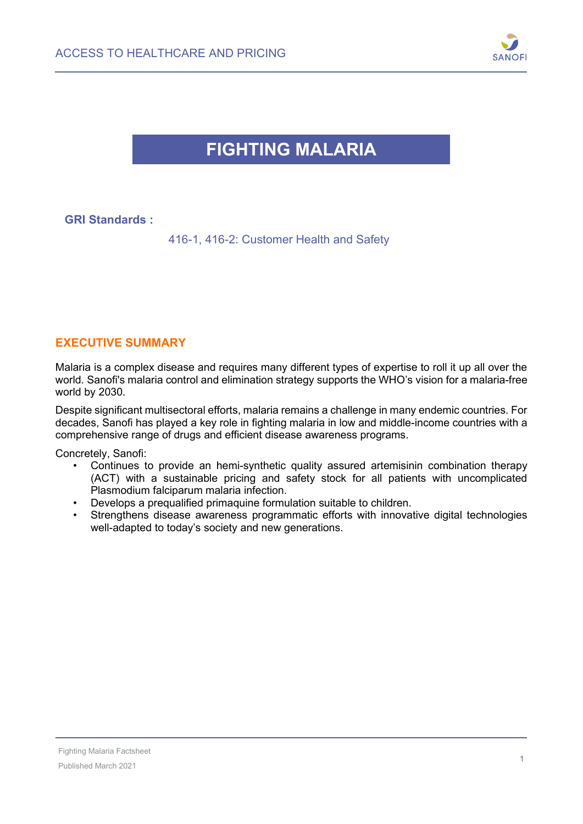

## **FIGHTING MALARIA**

| <b>GRI Standards:</b> |                                          |
|-----------------------|------------------------------------------|
|                       | 416-1, 416-2: Customer Health and Safety |

#### **EXECUTIVE SUMMARY**

Malaria is a complex disease and requires many different types of expertise to roll it up all over the world. Sanofi's malaria control and elimination strategy supports the WHO's vision for a malaria-free world by 2030.

Despite significant multisectoral efforts, malaria remains a challenge in many endemic countries. For decades, Sanofi has played a key role in fighting malaria in low and middle-income countries with a comprehensive range of drugs and efficient disease awareness programs.

Concretely, Sanofi:

- Continues to provide an hemi-synthetic quality assured artemisinin combination therapy (ACT) with a sustainable pricing and safety stock for all patients with uncomplicated Plasmodium falciparum malaria infection.
- Develops a prequalified primaquine formulation suitable to children.
- Strengthens disease awareness programmatic efforts with innovative digital technologies well-adapted to today's society and new generations.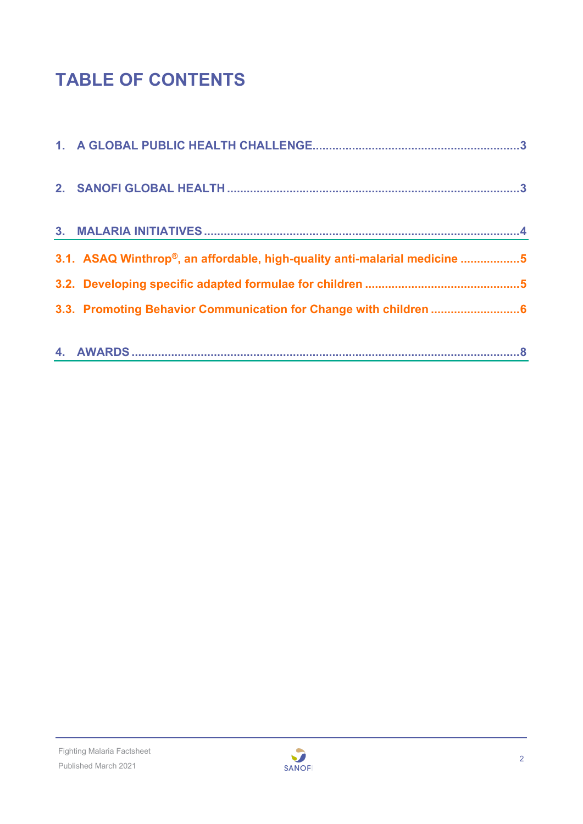# **TABLE OF CONTENTS**

| 3.1. ASAQ Winthrop®, an affordable, high-quality anti-malarial medicine 5 |
|---------------------------------------------------------------------------|
|                                                                           |
|                                                                           |
|                                                                           |
|                                                                           |

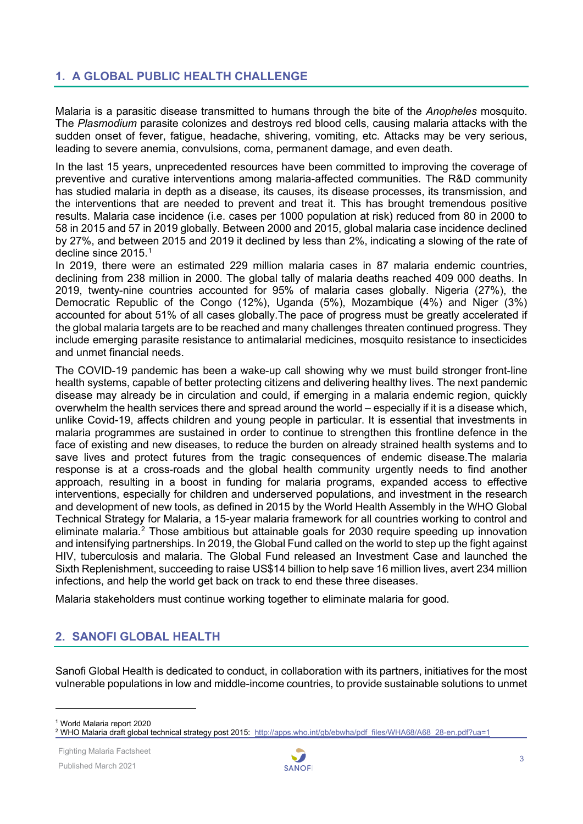## <span id="page-2-0"></span>**1. A GLOBAL PUBLIC HEALTH CHALLENGE**

Malaria is a parasitic disease transmitted to humans through the bite of the *Anopheles* mosquito. The *Plasmodium* parasite colonizes and destroys red blood cells, causing malaria attacks with the sudden onset of fever, fatigue, headache, shivering, vomiting, etc. Attacks may be very serious, leading to severe anemia, convulsions, coma, permanent damage, and even death.

In the last 15 years, unprecedented resources have been committed to improving the coverage of preventive and curative interventions among malaria-affected communities. The R&D community has studied malaria in depth as a disease, its causes, its disease processes, its transmission, and the interventions that are needed to prevent and treat it. This has brought tremendous positive results. Malaria case incidence (i.e. cases per 1000 population at risk) reduced from 80 in 2000 to 58 in 2015 and 57 in 2019 globally. Between 2000 and 2015, global malaria case incidence declined by 27%, and between 2015 and 2019 it declined by less than 2%, indicating a slowing of the rate of decline since 2015. [1](#page-2-2)

In 2019, there were an estimated 229 million malaria cases in 87 malaria endemic countries, declining from 238 million in 2000. The global tally of malaria deaths reached 409 000 deaths. In 2019, twenty-nine countries accounted for 95% of malaria cases globally. Nigeria (27%), the Democratic Republic of the Congo (12%), Uganda (5%), Mozambique (4%) and Niger (3%) accounted for about 51% of all cases globally.The pace of progress must be greatly accelerated if the global malaria targets are to be reached and many challenges threaten continued progress. They include emerging parasite resistance to antimalarial medicines, mosquito resistance to insecticides and unmet financial needs.

The COVID-19 pandemic has been a wake-up call showing why we must build stronger front-line health systems, capable of better protecting citizens and delivering healthy lives. The next pandemic disease may already be in circulation and could, if emerging in a malaria endemic region, quickly overwhelm the health services there and spread around the world – especially if it is a disease which, unlike Covid-19, affects children and young people in particular. It is essential that investments in malaria programmes are sustained in order to continue to strengthen this frontline defence in the face of existing and new diseases, to reduce the burden on already strained health systems and to save lives and protect futures from the tragic consequences of endemic disease.The malaria response is at a cross-roads and the global health community urgently needs to find another approach, resulting in a boost in funding for malaria programs, expanded access to effective interventions, especially for children and underserved populations, and investment in the research and development of new tools, as defined in 2015 by the World Health Assembly in the WHO Global Technical Strategy for Malaria, a 15-year malaria framework for all countries working to control and eliminate malaria.<sup>[2](#page-2-3)</sup> Those ambitious but attainable goals for 2030 require speeding up innovation and intensifying partnerships. In 2019, the Global Fund called on the world to step up the fight against HIV, tuberculosis and malaria. The Global Fund released an Investment Case and launched the Sixth Replenishment, succeeding to raise US\$14 billion to help save 16 million lives, avert 234 million infections, and help the world get back on track to end these three diseases.

Malaria stakeholders must continue working together to eliminate malaria for good.

## <span id="page-2-1"></span>**2. SANOFI GLOBAL HEALTH**

Sanofi Global Health is dedicated to conduct, in collaboration with its partners, initiatives for the most vulnerable populations in low and middle-income countries, to provide sustainable solutions to unmet

<span id="page-2-2"></span><sup>1</sup> World Malaria report 2020



<span id="page-2-3"></span><sup>&</sup>lt;sup>2</sup> WHO Malaria draft global technical strategy post 2015: [http://apps.who.int/gb/ebwha/pdf\\_files/WHA68/A68\\_28](http://apps.who.int/gb/ebwha/pdf_files/WHA68/A68_28-en.pdf?ua=1)-en.pdf?ua=1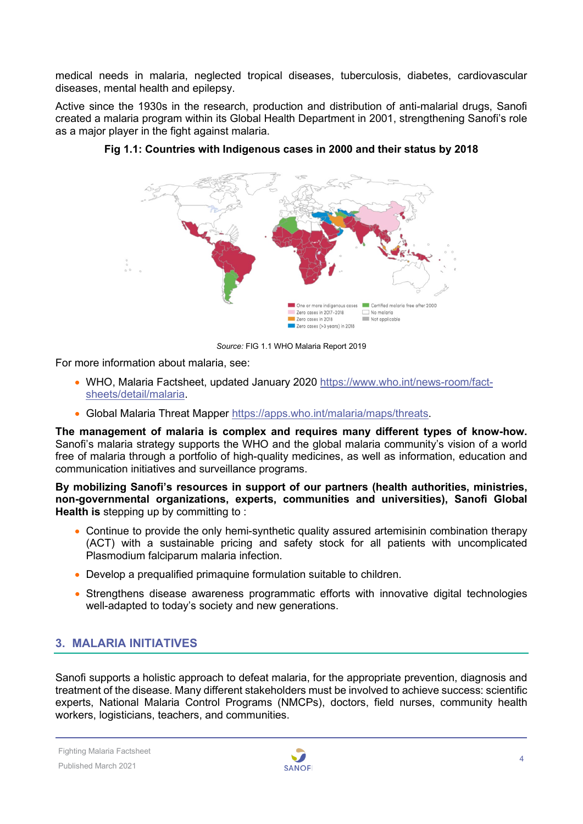medical needs in malaria, neglected tropical diseases, tuberculosis, diabetes, cardiovascular diseases, mental health and epilepsy.

Active since the 1930s in the research, production and distribution of anti-malarial drugs, Sanofi created a malaria program within its Global Health Department in 2001, strengthening Sanofi's role as a major player in the fight against malaria.



**Fig 1.1: Countries with Indigenous cases in 2000 and their status by 2018**

*Source:* FIG 1.1 WHO Malaria Report 2019

For more information about malaria, see:

- WHO, Malaria Factsheet, updated January 2020 [https://www.who.int/news-room/fact](https://www.who.int/news-room/fact-sheets/detail/malaria)[sheets/detail/malaria.](https://www.who.int/news-room/fact-sheets/detail/malaria)
- Global Malaria Threat Mapper [https://apps.who.int/malaria/maps/threats.](https://apps.who.int/malaria/maps/threats)

**The management of malaria is complex and requires many different types of know-how.**  Sanofi's malaria strategy supports the WHO and the global malaria community's vision of a world free of malaria through a portfolio of high-quality medicines, as well as information, education and communication initiatives and surveillance programs.

**By mobilizing Sanofi's resources in support of our partners (health authorities, ministries, non-governmental organizations, experts, communities and universities), Sanofi Global Health is** stepping up by committing to :

- Continue to provide the only hemi-synthetic quality assured artemisinin combination therapy (ACT) with a sustainable pricing and safety stock for all patients with uncomplicated Plasmodium falciparum malaria infection.
- Develop a prequalified primaquine formulation suitable to children.
- Strengthens disease awareness programmatic efforts with innovative digital technologies well-adapted to today's society and new generations.

## <span id="page-3-0"></span>**3. MALARIA INITIATIVES**

Sanofi supports a holistic approach to defeat malaria, for the appropriate prevention, diagnosis and treatment of the disease. Many different stakeholders must be involved to achieve success: scientific experts, National Malaria Control Programs (NMCPs), doctors, field nurses, community health workers, logisticians, teachers, and communities.

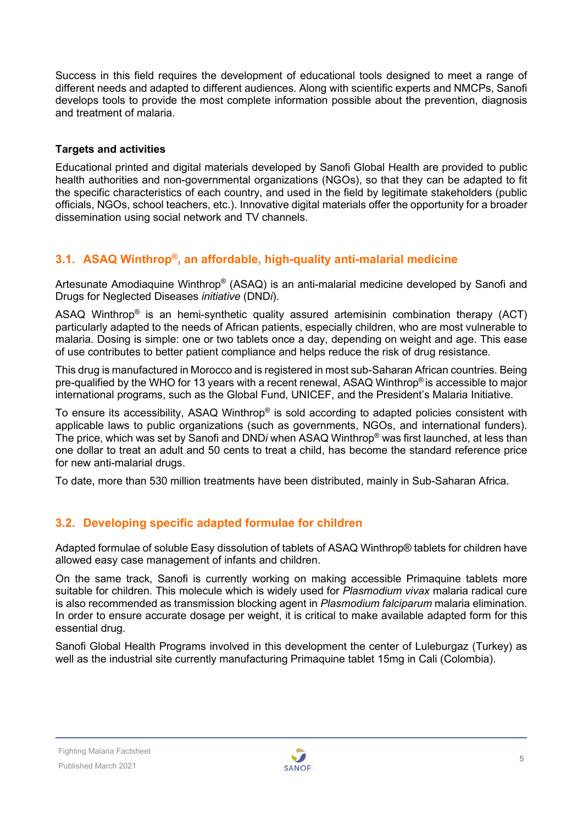Success in this field requires the development of educational tools designed to meet a range of different needs and adapted to different audiences. Along with scientific experts and NMCPs, Sanofi develops tools to provide the most complete information possible about the prevention, diagnosis and treatment of malaria.

#### **Targets and activities**

Educational printed and digital materials developed by Sanofi Global Health are provided to public health authorities and non-governmental organizations (NGOs), so that they can be adapted to fit the specific characteristics of each country, and used in the field by legitimate stakeholders (public officials, NGOs, school teachers, etc.). Innovative digital materials offer the opportunity for a broader dissemination using social network and TV channels.

## <span id="page-4-0"></span>**3.1. ASAQ Winthrop®, an affordable, high-quality anti-malarial medicine**

Artesunate Amodiaquine Winthrop® (ASAQ) is an anti-malarial medicine developed by Sanofi and Drugs for Neglected Diseases *initiative* (DND*i*).

ASAQ Winthrop® is an hemi-synthetic quality assured artemisinin combination therapy (ACT) particularly adapted to the needs of African patients, especially children, who are most vulnerable to malaria. Dosing is simple: one or two tablets once a day, depending on weight and age. This ease of use contributes to better patient compliance and helps reduce the risk of drug resistance.

This drug is manufactured in Morocco and is registered in most sub-Saharan African countries. Being pre-qualified by the WHO for 13 years with a recent renewal, ASAQ Winthrop® is accessible to major international programs, such as the Global Fund, UNICEF, and the President's Malaria Initiative.

To ensure its accessibility, ASAQ Winthrop® is sold according to adapted policies consistent with applicable laws to public organizations (such as governments, NGOs, and international funders). The price, which was set by Sanofi and DND*i* when ASAQ Winthrop® was first launched, at less than one dollar to treat an adult and 50 cents to treat a child, has become the standard reference price for new anti-malarial drugs.

<span id="page-4-1"></span>To date, more than 530 million treatments have been distributed, mainly in Sub-Saharan Africa.

## **3.2. Developing specific adapted formulae for children**

Adapted formulae of soluble Easy dissolution of tablets of ASAQ Winthrop® tablets for children have allowed easy case management of infants and children.

On the same track, Sanofi is currently working on making accessible Primaquine tablets more suitable for children. This molecule which is widely used for *Plasmodium vivax* malaria radical cure is also recommended as transmission blocking agent in *Plasmodium falciparum* malaria elimination. In order to ensure accurate dosage per weight, it is critical to make available adapted form for this essential drug.

Sanofi Global Health Programs involved in this development the center of Luleburgaz (Turkey) as well as the industrial site currently manufacturing Primaquine tablet 15mg in Cali (Colombia).

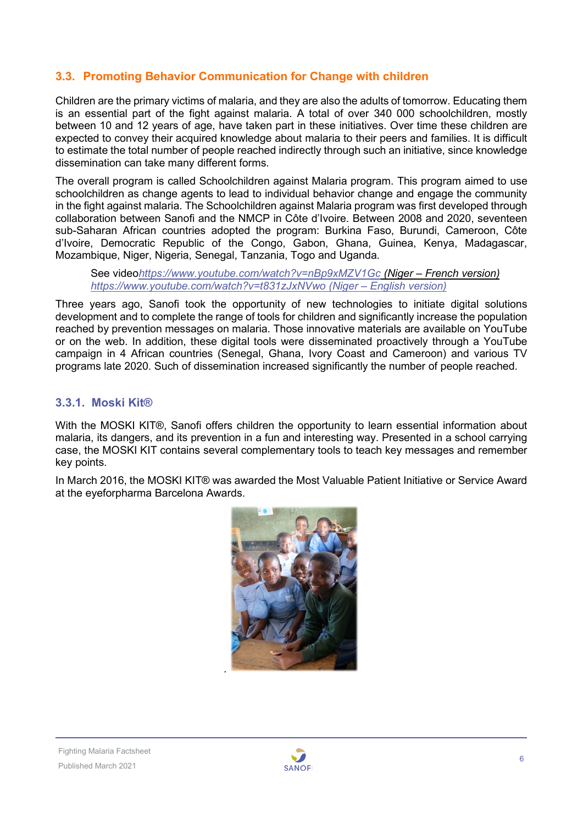## <span id="page-5-0"></span>**3.3. Promoting Behavior Communication for Change with children**

Children are the primary victims of malaria, and they are also the adults of tomorrow. Educating them is an essential part of the fight against malaria. A total of over 340 000 schoolchildren, mostly between 10 and 12 years of age, have taken part in these initiatives. Over time these children are expected to convey their acquired knowledge about malaria to their peers and families. It is difficult to estimate the total number of people reached indirectly through such an initiative, since knowledge dissemination can take many different forms.

The overall program is called Schoolchildren against Malaria program. This program aimed to use schoolchildren as change agents to lead to individual behavior change and engage the community in the fight against malaria. The Schoolchildren against Malaria program was first developed through collaboration between Sanofi and the NMCP in Côte d'Ivoire. Between 2008 and 2020, seventeen sub-Saharan African countries adopted the program: Burkina Faso, Burundi, Cameroon, Côte d'Ivoire, Democratic Republic of the Congo, Gabon, Ghana, Guinea, Kenya, Madagascar, Mozambique, Niger, Nigeria, Senegal, Tanzania, Togo and Uganda.

See video*<https://www.youtube.com/watch?v=nBp9xMZV1Gc> (Niger – French version) <https://www.youtube.com/watch?v=t831zJxNVwo> (Niger – English version)*

Three years ago, Sanofi took the opportunity of new technologies to initiate digital solutions development and to complete the range of tools for children and significantly increase the population reached by prevention messages on malaria. Those innovative materials are available on YouTube or on the web. In addition, these digital tools were disseminated proactively through a YouTube campaign in 4 African countries (Senegal, Ghana, Ivory Coast and Cameroon) and various TV programs late 2020. Such of dissemination increased significantly the number of people reached.

#### **3.3.1. Moski Kit®**

With the MOSKI KIT®, Sanofi offers children the opportunity to learn essential information about malaria, its dangers, and its prevention in a fun and interesting way. Presented in a school carrying case, the MOSKI KIT contains several complementary tools to teach key messages and remember key points.

In March 2016, the MOSKI KIT® was awarded the Most Valuable Patient Initiative or Service Award at the eyeforpharma Barcelona Awards.



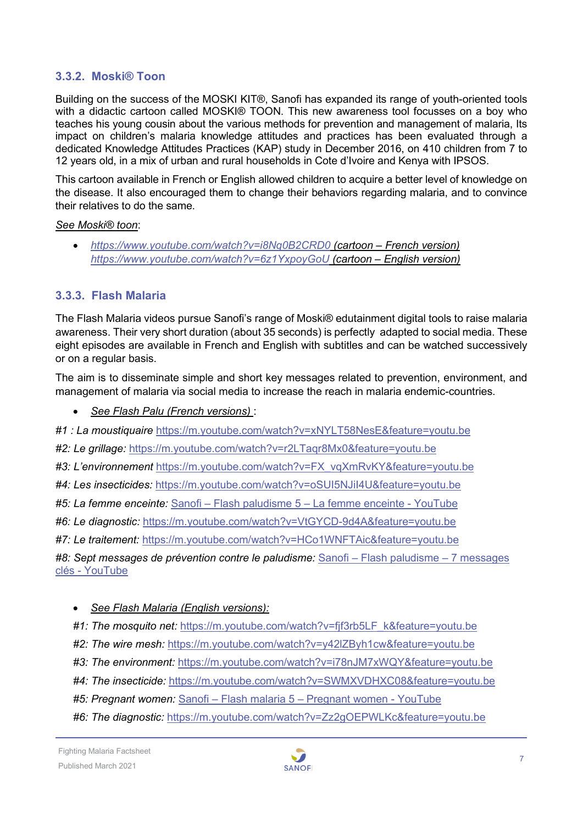#### **3.3.2. Moski® Toon**

Building on the success of the MOSKI KIT®, Sanofi has expanded its range of youth-oriented tools with a didactic cartoon called MOSKI® TOON. This new awareness tool focusses on a boy who teaches his young cousin about the various methods for prevention and management of malaria, Its impact on children's malaria knowledge attitudes and practices has been evaluated through a dedicated Knowledge Attitudes Practices (KAP) study in December 2016, on 410 children from 7 to 12 years old, in a mix of urban and rural households in Cote d'Ivoire and Kenya with IPSOS.

This cartoon available in French or English allowed children to acquire a better level of knowledge on the disease. It also encouraged them to change their behaviors regarding malaria, and to convince their relatives to do the same.

#### *See Moski® toon*:

• *<https://www.youtube.com/watch?v=i8Nq0B2CRD0> (cartoon – French version) <https://www.youtube.com/watch?v=6z1YxpoyGoU> (cartoon – English version)*

#### **3.3.3. Flash Malaria**

The Flash Malaria videos pursue Sanofi's range of Moski® edutainment digital tools to raise malaria awareness. Their very short duration (about 35 seconds) is perfectly adapted to social media. These eight episodes are available in French and English with subtitles and can be watched successively or on a regular basis.

The aim is to disseminate simple and short key messages related to prevention, environment, and management of malaria via social media to increase the reach in malaria endemic-countries.

• *See Flash Palu (French versions)* :

*#1 : La moustiquaire* <https://m.youtube.com/watch?v=xNYLT58NesE&feature=youtu.be>

*#2: Le grillage:* <https://m.youtube.com/watch?v=r2LTaqr8Mx0&feature=youtu.be>

*#3: L'environnement* [https://m.youtube.com/watch?v=FX\\_vqXmRvKY&feature=youtu.be](https://m.youtube.com/watch?v=FX_vqXmRvKY&feature=youtu.be)

*#4: Les insecticides:* <https://m.youtube.com/watch?v=oSUI5NJiI4U&feature=youtu.be>

*#5: La femme enceinte:* Sanofi – Flash paludisme 5 – [La femme enceinte -](https://www.youtube.com/watch?v=UQhqpsUdS44) YouTube

*#6: Le diagnostic:* <https://m.youtube.com/watch?v=VtGYCD-9d4A&feature=youtu.be>

*#7: Le traitement:* <https://m.youtube.com/watch?v=HCo1WNFTAic&feature=youtu.be>

*#8: Sept messages de prévention contre le paludisme:* Sanofi – [Flash paludisme –](https://www.youtube.com/watch?v=P4aTbuOu-Vw) 7 messages clés - [YouTube](https://www.youtube.com/watch?v=P4aTbuOu-Vw)

#### • *See Flash Malaria (English versions):*

#1: The mosquito net: https://m[.youtube.com/watch?v=fjf3rb5LF\\_k&feature=youtu.be](https://m.youtube.com/watch?v=fjf3rb5LF_k&feature=youtu.be)

- *#2: The wire mesh:* <https://m.youtube.com/watch?v=y42lZByh1cw&feature=youtu.be>
- *#3: The environment:* <https://m.youtube.com/watch?v=i78nJM7xWQY&feature=youtu.be>
- *#4: The insecticide:* https://m.youtube.com/watch?[v=SWMXVDHXC08&feature=youtu.be](https://m.youtube.com/watch?v=SWMXVDHXC08&feature=youtu.be)
- *#5: Pregnant women:* Sanofi Flash malaria 5 [Pregnant women -](https://www.youtube.com/watch?v=IzNZuPdM00I) YouTube
- *#6: The diagnostic:* <https://m.youtube.com/watch?v=Zz2gOEPWLKc&feature=youtu.be>